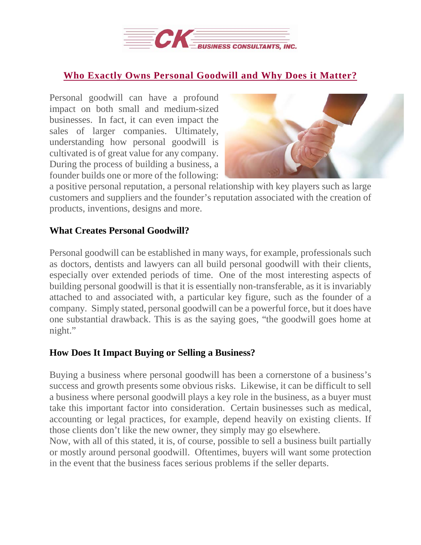

## **Who Exactly Owns Personal [Goodwill](https://deal-studio.com/who-exactly-owns-personal-goodwill-and-why-does-it-matter/) and Why Does it Matter?**

Personal goodwill can have a profound impact on both small and medium-sized businesses. In fact, it can even impact the sales of larger companies. Ultimately, understanding how personal goodwill is cultivated is of great value for any company. During the process of building a business, a founder builds one or more of the following:



a positive personal reputation, a personal relationship with key players such as large customers and suppliers and the founder's reputation associated with the creation of products, inventions, designs and more.

## **What Creates Personal Goodwill?**

Personal goodwill can be established in many ways, for example, professionals such as doctors, dentists and lawyers can all build personal goodwill with their clients, especially over extended periods of time. One of the most interesting aspects of building personal goodwill is that it is essentially non-transferable, as it is invariably attached to and associated with, a particular key figure, such as the founder of a company. Simply stated, personal goodwill can be a powerful force, but it does have one substantial drawback. This is as the saying goes, "the goodwill goes home at night."

## **How Does It Impact Buying or Selling a Business?**

Buying a business where personal goodwill has been a cornerstone of a business's success and growth presents some obvious risks. Likewise, it can be difficult to sell a business where personal goodwill plays a key role in the business, as a buyer must take this important factor into consideration. Certain businesses such as medical, accounting or legal practices, for example, depend heavily on existing clients. If those clients don't like the new owner, they simply may go elsewhere.

Now, with all of this stated, it is, of course, possible to sell a business built partially or mostly around personal goodwill. Oftentimes, buyers will want some protection in the event that the business faces serious problems if the seller departs.